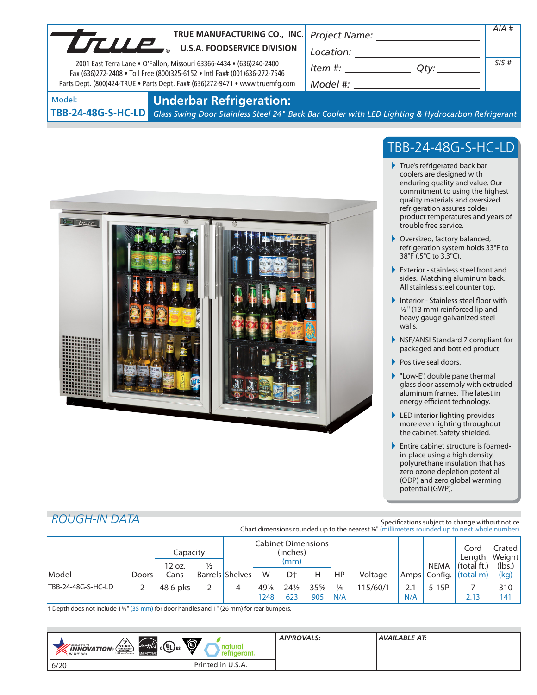| UTILIP | TRUE MANUFACTURING CO., INC.<br><b>U.S.A. FOODSERVICE DIVISION</b><br>2001 East Terra Lane . O'Fallon, Missouri 63366-4434 . (636)240-2400<br>Fax (636)272-2408 . Toll Free (800)325-6152 . Intl Fax# (001)636-272-7546<br>Parts Dept. (800)424-TRUE . Parts Dept. Fax# (636)272-9471 . www.truemfg.com | <b>Project Name:</b><br>Location:<br>Item #:<br>Qtv:<br>Model #: | AIA#<br>SIS# |
|--------|---------------------------------------------------------------------------------------------------------------------------------------------------------------------------------------------------------------------------------------------------------------------------------------------------------|------------------------------------------------------------------|--------------|
| Model: | <b>Underbar Refrigeration:</b>                                                                                                                                                                                                                                                                          |                                                                  |              |

**TBB-24-48G-S-HC-LD**

*Glass Swing Door Stainless Steel 24" Back Bar Cooler with LED Lighting & Hydrocarbon Refrigerant*



# TBB-24-48G-S-HC-LD

- True's refrigerated back bar coolers are designed with enduring quality and value. Our commitment to using the highest quality materials and oversized refrigeration assures colder product temperatures and years of trouble free service.
- ▶ Oversized, factory balanced, refrigeration system holds 33°F to 38°F (.5°C to 3.3°C).
- Exterior stainless steel front and sides. Matching aluminum back. All stainless steel counter top.
- Interior Stainless steel floor with  $1/2$ " (13 mm) reinforced lip and heavy gauge galvanized steel walls.
- NSF/ANSI Standard 7 compliant for packaged and bottled product.
- Positive seal doors.
- ▶ "Low-E", double pane thermal glass door assembly with extruded aluminum frames. The latest in energy efficient technology.
- ▶ LED interior lighting provides more even lighting throughout the cabinet. Safety shielded.
- **Entire cabinet structure is foamed**in-place using a high density, polyurethane insulation that has zero ozone depletion potential (ODP) and zero global warming potential (GWP).

## *ROUGH-IN DATA*

#### Specifications subject to change without notice. Chart dimensions rounded up to the nearest %" (millimeters rounded up to next whole number).

|                    |       | Capacity<br>12 oz. | $\frac{1}{2}$ | Cabinet Dimensions<br>(inches)<br>(mm) |      |                 |     |               | <b>NEMA</b> | Cord<br>Lenath<br>(total ft.) | Crated l<br>Weight<br>(lbs.) |                            |      |
|--------------------|-------|--------------------|---------------|----------------------------------------|------|-----------------|-----|---------------|-------------|-------------------------------|------------------------------|----------------------------|------|
| Model              | Doors | Cans               |               | <b>Barrels Shelves</b>                 | W    | D <sup>+</sup>  | Н   | HP.           | Voltage     |                               |                              | $Amps$ Config. $(total m)$ | (kg) |
| TBB-24-48G-S-HC-LD |       | 48 6-pks           |               |                                        | 49%  | $24\frac{1}{2}$ | 35% | $\frac{1}{5}$ | 115/60/1    | 2.1                           | $5-15P$                      |                            | 310  |
|                    |       |                    |               |                                        | 1248 | 623             | 905 | N/A           |             | N/A                           |                              | 2.13                       | 141  |

† Depth does not include 13/8" (35 mm) for door handles and 1" (26 mm) for rear bumpers.

| <b>O</b><br>$\mathfrak{g}_{\mathfrak{c}}(\mathfrak{y}_{\mathsf{L}})_{\mathfrak{u}_{\mathsf{S}}}$<br>energy Z<br>$\left\langle \begin{array}{c}\n\mathbf{Y} \mathbf{E} \mathbf{A} \mathbf{R} \\ \hline\n\text{CMBHSLOP}\n\end{array} \right\rangle$<br><b>MADE WITH_</b><br>natura<br><b>INNOVATION</b><br>◡<br>erant.<br><b>ENERGY STAR</b><br>USA and Canada<br><b>M</b> . IN THE USA | <b>APPROVALS:</b> | <b>AVAILABLE AT:</b> |
|----------------------------------------------------------------------------------------------------------------------------------------------------------------------------------------------------------------------------------------------------------------------------------------------------------------------------------------------------------------------------------------|-------------------|----------------------|
| Printed in U.S.A.<br>6/20                                                                                                                                                                                                                                                                                                                                                              |                   |                      |